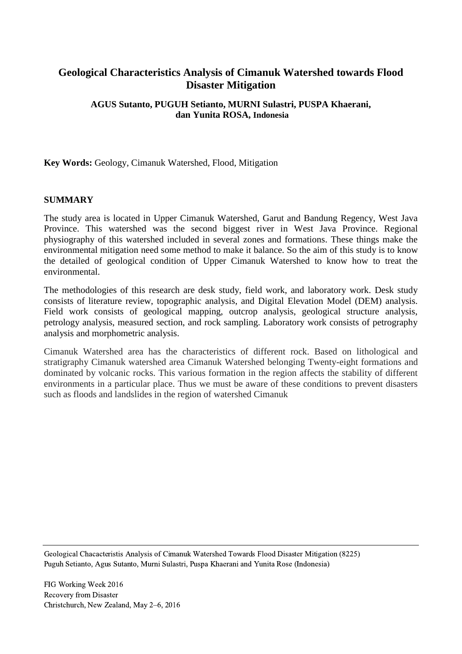# **Geological Characteristics Analysis of Cimanuk Watershed towards Flood Disaster Mitigation**

## **AGUS Sutanto, PUGUH Setianto, MURNI Sulastri, PUSPA Khaerani, dan Yunita ROSA, Indonesia**

**Key Words:** Geology, Cimanuk Watershed, Flood, Mitigation

### **SUMMARY**

The study area is located in Upper Cimanuk Watershed, Garut and Bandung Regency, West Java Province. This watershed was the second biggest river in West Java Province. Regional physiography of this watershed included in several zones and formations. These things make the environmental mitigation need some method to make it balance. So the aim of this study is to know the detailed of geological condition of Upper Cimanuk Watershed to know how to treat the environmental.

The methodologies of this research are desk study, field work, and laboratory work. Desk study consists of literature review, topographic analysis, and Digital Elevation Model (DEM) analysis. Field work consists of geological mapping, outcrop analysis, geological structure analysis, petrology analysis, measured section, and rock sampling. Laboratory work consists of petrography analysis and morphometric analysis.

Cimanuk Watershed area has the characteristics of different rock. Based on lithological and stratigraphy Cimanuk watershed area Cimanuk Watershed belonging Twenty-eight formations and dominated by volcanic rocks. This various formation in the region affects the stability of different environments in a particular place. Thus we must be aware of these conditions to prevent disasters such as floods and landslides in the region of watershed Cimanuk

Geological Chacacteristis Analysis of Cimanuk Watershed Towards Flood Disaster Mitigation (8225) Puguh Setianto, Agus Sutanto, Murni Sulastri, Puspa Khaerani and Yunita Rose (Indonesia)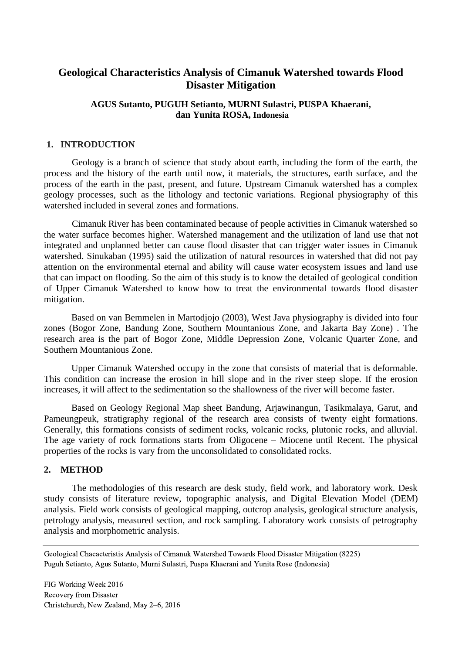## **Geological Characteristics Analysis of Cimanuk Watershed towards Flood Disaster Mitigation**

## **AGUS Sutanto, PUGUH Setianto, MURNI Sulastri, PUSPA Khaerani, dan Yunita ROSA, Indonesia**

### **1. INTRODUCTION**

Geology is a branch of science that study about earth, including the form of the earth, the process and the history of the earth until now, it materials, the structures, earth surface, and the process of the earth in the past, present, and future. Upstream Cimanuk watershed has a complex geology processes, such as the lithology and tectonic variations. Regional physiography of this watershed included in several zones and formations.

Cimanuk River has been contaminated because of people activities in Cimanuk watershed so the water surface becomes higher. Watershed management and the utilization of land use that not integrated and unplanned better can cause flood disaster that can trigger water issues in Cimanuk watershed. Sinukaban (1995) said the utilization of natural resources in watershed that did not pay attention on the environmental eternal and ability will cause water ecosystem issues and land use that can impact on flooding. So the aim of this study is to know the detailed of geological condition of Upper Cimanuk Watershed to know how to treat the environmental towards flood disaster mitigation.

Based on van Bemmelen in Martodjojo (2003), West Java physiography is divided into four zones (Bogor Zone, Bandung Zone, Southern Mountanious Zone, and Jakarta Bay Zone) . The research area is the part of Bogor Zone, Middle Depression Zone, Volcanic Quarter Zone, and Southern Mountanious Zone.

Upper Cimanuk Watershed occupy in the zone that consists of material that is deformable. This condition can increase the erosion in hill slope and in the river steep slope. If the erosion increases, it will affect to the sedimentation so the shallowness of the river will become faster.

Based on Geology Regional Map sheet Bandung, Arjawinangun, Tasikmalaya, Garut, and Pameungpeuk, stratigraphy regional of the research area consists of twenty eight formations. Generally, this formations consists of sediment rocks, volcanic rocks, plutonic rocks, and alluvial. The age variety of rock formations starts from Oligocene – Miocene until Recent. The physical properties of the rocks is vary from the unconsolidated to consolidated rocks.

### **2. METHOD**

The methodologies of this research are desk study, field work, and laboratory work. Desk study consists of literature review, topographic analysis, and Digital Elevation Model (DEM) analysis. Field work consists of geological mapping, outcrop analysis, geological structure analysis, petrology analysis, measured section, and rock sampling. Laboratory work consists of petrography analysis and morphometric analysis.

Geological Chacacteristis Analysis of Cimanuk Watershed Towards Flood Disaster Mitigation (8225) Puguh Setianto, Agus Sutanto, Murni Sulastri, Puspa Khaerani and Yunita Rose (Indonesia)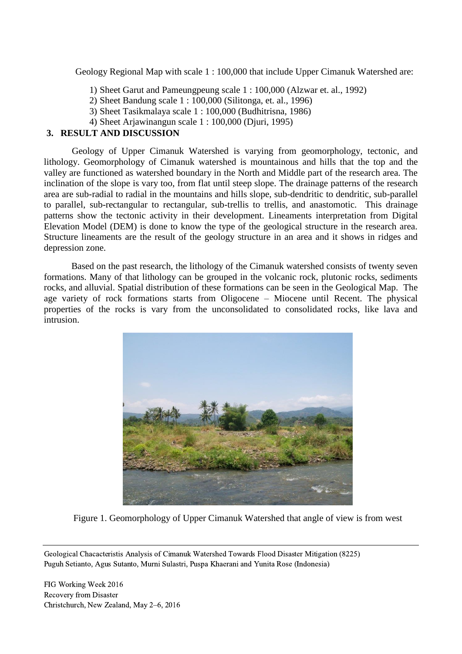Geology Regional Map with scale 1 : 100,000 that include Upper Cimanuk Watershed are:

- 1) Sheet Garut and Pameungpeung scale 1 : 100,000 (Alzwar et. al., 1992)
- 2) Sheet Bandung scale 1 : 100,000 (Silitonga, et. al., 1996)
- 3) Sheet Tasikmalaya scale 1 : 100,000 (Budhitrisna, 1986)
- 4) Sheet Arjawinangun scale 1 : 100,000 (Djuri, 1995)

## **3. RESULT AND DISCUSSION**

Geology of Upper Cimanuk Watershed is varying from geomorphology, tectonic, and lithology. Geomorphology of Cimanuk watershed is mountainous and hills that the top and the valley are functioned as watershed boundary in the North and Middle part of the research area. The inclination of the slope is vary too, from flat until steep slope. The drainage patterns of the research area are sub-radial to radial in the mountains and hills slope, sub-dendritic to dendritic, sub-parallel to parallel, sub-rectangular to rectangular, sub-trellis to trellis, and anastomotic. This drainage patterns show the tectonic activity in their development. Lineaments interpretation from Digital Elevation Model (DEM) is done to know the type of the geological structure in the research area. Structure lineaments are the result of the geology structure in an area and it shows in ridges and depression zone.

Based on the past research, the lithology of the Cimanuk watershed consists of twenty seven formations. Many of that lithology can be grouped in the volcanic rock, plutonic rocks, sediments rocks, and alluvial. Spatial distribution of these formations can be seen in the Geological Map. The age variety of rock formations starts from Oligocene – Miocene until Recent. The physical properties of the rocks is vary from the unconsolidated to consolidated rocks, like lava and intrusion.



Figure 1. Geomorphology of Upper Cimanuk Watershed that angle of view is from west

Geological Chacacteristis Analysis of Cimanuk Watershed Towards Flood Disaster Mitigation (8225) Puguh Setianto, Agus Sutanto, Murni Sulastri, Puspa Khaerani and Yunita Rose (Indonesia)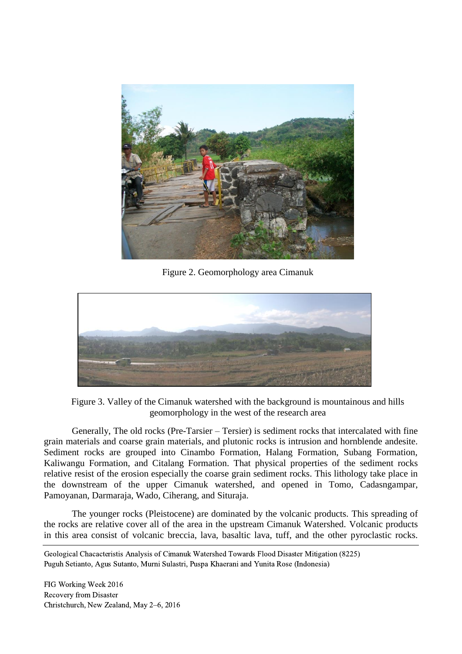

Figure 2. Geomorphology area Cimanuk



Figure 3. Valley of the Cimanuk watershed with the background is mountainous and hills geomorphology in the west of the research area

Generally, The old rocks (Pre-Tarsier – Tersier) is sediment rocks that intercalated with fine grain materials and coarse grain materials, and plutonic rocks is intrusion and hornblende andesite. Sediment rocks are grouped into Cinambo Formation, Halang Formation, Subang Formation, Kaliwangu Formation, and Citalang Formation. That physical properties of the sediment rocks relative resist of the erosion especially the coarse grain sediment rocks. This lithology take place in the downstream of the upper Cimanuk watershed, and opened in Tomo, Cadasngampar, Pamoyanan, Darmaraja, Wado, Ciherang, and Situraja.

The younger rocks (Pleistocene) are dominated by the volcanic products. This spreading of the rocks are relative cover all of the area in the upstream Cimanuk Watershed. Volcanic products in this area consist of volcanic breccia, lava, basaltic lava, tuff, and the other pyroclastic rocks.

Geological Chacacteristis Analysis of Cimanuk Watershed Towards Flood Disaster Mitigation (8225) Puguh Setianto, Agus Sutanto, Murni Sulastri, Puspa Khaerani and Yunita Rose (Indonesia)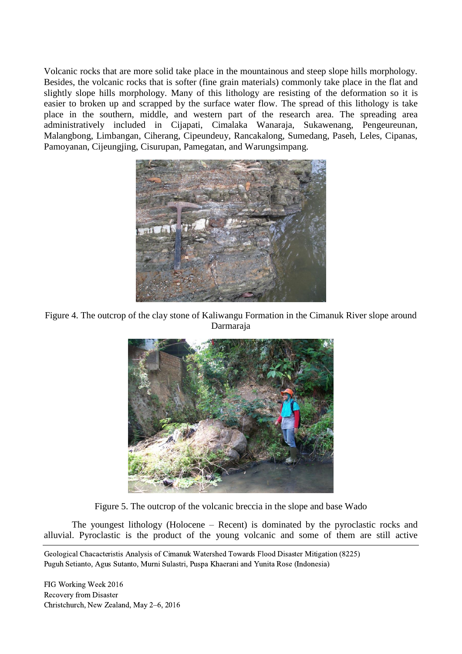Volcanic rocks that are more solid take place in the mountainous and steep slope hills morphology. Besides, the volcanic rocks that is softer (fine grain materials) commonly take place in the flat and slightly slope hills morphology. Many of this lithology are resisting of the deformation so it is easier to broken up and scrapped by the surface water flow. The spread of this lithology is take place in the southern, middle, and western part of the research area. The spreading area administratively included in Cijapati, Cimalaka Wanaraja, Sukawenang, Pengeureunan, Malangbong, Limbangan, Ciherang, Cipeundeuy, Rancakalong, Sumedang, Paseh, Leles, Cipanas, Pamoyanan, Cijeungjing, Cisurupan, Pamegatan, and Warungsimpang.



Figure 4. The outcrop of the clay stone of Kaliwangu Formation in the Cimanuk River slope around Darmaraja



Figure 5. The outcrop of the volcanic breccia in the slope and base Wado

The youngest lithology (Holocene – Recent) is dominated by the pyroclastic rocks and alluvial. Pyroclastic is the product of the young volcanic and some of them are still active

Geological Chacacteristis Analysis of Cimanuk Watershed Towards Flood Disaster Mitigation (8225) Puguh Setianto, Agus Sutanto, Murni Sulastri, Puspa Khaerani and Yunita Rose (Indonesia)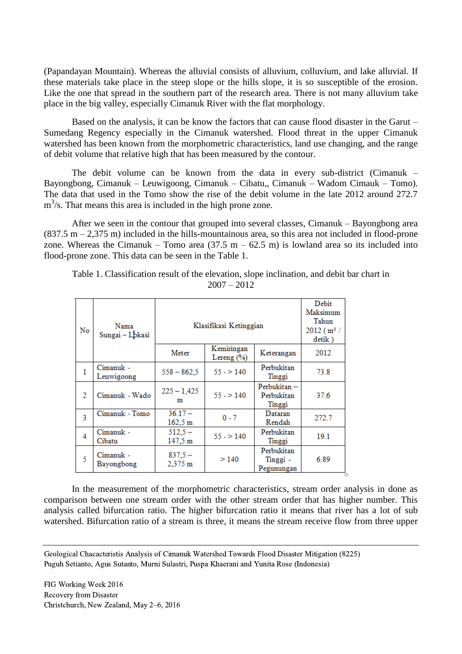(Papandayan Mountain). Whereas the alluvial consists of alluvium, colluvium, and lake alluvial. If these materials take place in the steep slope or the hills slope, it is so susceptible of the erosion. Like the one that spread in the southern part of the research area. There is not many alluvium take place in the big valley, especially Cimanuk River with the flat morphology.

Based on the analysis, it can be know the factors that can cause flood disaster in the Garut – Sumedang Regency especially in the Cimanuk watershed. Flood threat in the upper Cimanuk watershed has been known from the morphometric characteristics, land use changing, and the range of debit volume that relative high that has been measured by the contour.

The debit volume can be known from the data in every sub-district (Cimanuk – Bayongbong, Cimanuk – Leuwigoong, Cimanuk – Cibatu,, Cimanuk – Wadom Cimauk – Tomo). The data that used in the Tomo show the rise of the debit volume in the late 2012 around 272.7  $m<sup>3</sup>/s$ . That means this area is included in the high prone zone.

After we seen in the contour that grouped into several classes, Cimanuk – Bayongbong area  $(837.5 \text{ m} - 2.375 \text{ m})$  included in the hills-mountainous area, so this area not included in flood-prone zone. Whereas the Cimanuk – Tomo area  $(37.5 \text{ m} - 62.5 \text{ m})$  is lowland area so its included into flood-prone zone. This data can be seen in the Table 1.

Table 1. Classification result of the elevation, slope inclination, and debit bar chart in  $2007 - 2012$ 

| No           | Nama<br>Sungai - Lokasi | Klasifikasi Ketinggian |                              |                                      | Debit<br>Maksimum<br>Tahun<br>2012 (m <sup>3</sup> /<br>detik) |
|--------------|-------------------------|------------------------|------------------------------|--------------------------------------|----------------------------------------------------------------|
|              |                         | Meter                  | Kemiringan<br>Lereng $(\% )$ | Keterangan                           | 2012                                                           |
| $\mathbf{1}$ | Cimanuk -<br>Leuwigoong | $558 - 862.5$          | $55 - 140$                   | Perbukitan<br>Tinggi                 | 73.8                                                           |
| 2            | Cimanuk - Wado          | $225 - 1,425$<br>m     | $55 - 140$                   | Perbukitan-<br>Perbukitan<br>Tinggi  | 37.6                                                           |
| 3            | Cimanuk - Tomo          | $36.17 -$<br>162,5 m   | $0 - 7$                      | Dataran<br>Rendah                    | 272.7                                                          |
| 4            | Cimanuk -<br>Cibatu     | $512.5 -$<br>147,5 m   | $55 - 140$                   | Perbukitan<br>Tinggi                 | 19.1                                                           |
| 5            | Cimanuk -<br>Bayongbong | $837.5 -$<br>2.375 m   | >140                         | Perbukitan<br>Tinggi -<br>Pegunungan | 6.89                                                           |

In the measurement of the morphometric characteristics, stream order analysis in done as comparison between one stream order with the other stream order that has higher number. This analysis called bifurcation ratio. The higher bifurcation ratio it means that river has a lot of sub watershed. Bifurcation ratio of a stream is three, it means the stream receive flow from three upper

Geological Chacacteristis Analysis of Cimanuk Watershed Towards Flood Disaster Mitigation (8225) Puguh Setianto, Agus Sutanto, Murni Sulastri, Puspa Khaerani and Yunita Rose (Indonesia)